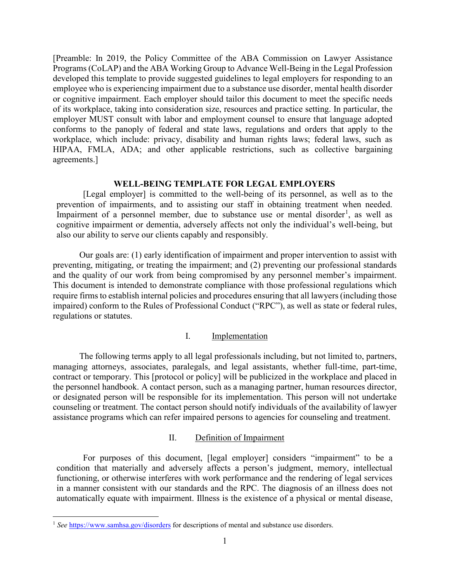[Preamble: In 2019, the Policy Committee of the ABA Commission on Lawyer Assistance Programs (CoLAP) and the ABA Working Group to Advance Well-Being in the Legal Profession developed this template to provide suggested guidelines to legal employers for responding to an employee who is experiencing impairment due to a substance use disorder, mental health disorder or cognitive impairment. Each employer should tailor this document to meet the specific needs of its workplace, taking into consideration size, resources and practice setting. In particular, the employer MUST consult with labor and employment counsel to ensure that language adopted conforms to the panoply of federal and state laws, regulations and orders that apply to the workplace, which include: privacy, disability and human rights laws; federal laws, such as HIPAA, FMLA, ADA; and other applicable restrictions, such as collective bargaining agreements.]

### **WELL-BEING TEMPLATE FOR LEGAL EMPLOYERS**

[Legal employer] is committed to the well-being of its personnel, as well as to the prevention of impairments, and to assisting our staff in obtaining treatment when needed. Impairment of a personnel member, due to substance use or mental disorder<sup>[1](#page-0-0)</sup>, as well as cognitive impairment or dementia, adversely affects not only the individual's well-being, but also our ability to serve our clients capably and responsibly.

Our goals are: (1) early identification of impairment and proper intervention to assist with preventing, mitigating, or treating the impairment; and (2) preventing our professional standards and the quality of our work from being compromised by any personnel member's impairment. This document is intended to demonstrate compliance with those professional regulations which require firms to establish internal policies and procedures ensuring that all lawyers (including those impaired) conform to the Rules of Professional Conduct ("RPC"), as well as state or federal rules, regulations or statutes.

## I. Implementation

The following terms apply to all legal professionals including, but not limited to, partners, managing attorneys, associates, paralegals, and legal assistants, whether full-time, part-time, contract or temporary. This [protocol or policy] will be publicized in the workplace and placed in the personnel handbook. A contact person, such as a managing partner, human resources director, or designated person will be responsible for its implementation. This person will not undertake counseling or treatment. The contact person should notify individuals of the availability of lawyer assistance programs which can refer impaired persons to agencies for counseling and treatment.

# II. Definition of Impairment

For purposes of this document, [legal employer] considers "impairment" to be a condition that materially and adversely affects a person's judgment, memory, intellectual functioning, or otherwise interferes with work performance and the rendering of legal services in a manner consistent with our standards and the RPC. The diagnosis of an illness does not automatically equate with impairment. Illness is the existence of a physical or mental disease,

l

<span id="page-0-0"></span><sup>&</sup>lt;sup>1</sup> See <https://www.samhsa.gov/disorders> for descriptions of mental and substance use disorders.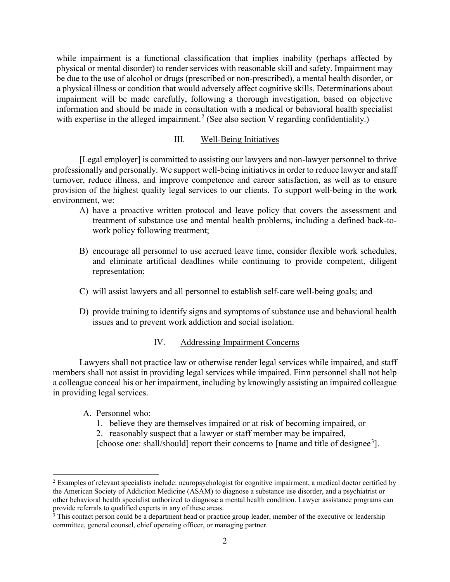while impairment is a functional classification that implies inability (perhaps affected by physical or mental disorder) to render services with reasonable skill and safety. Impairment may be due to the use of alcohol or drugs (prescribed or non-prescribed), a mental health disorder, or a physical illness or condition that would adversely affect cognitive skills. Determinations about impairment will be made carefully, following a thorough investigation, based on objective information and should be made in consultation with a medical or behavioral health specialist with expertise in the alleged impairment.<sup>[2](#page-1-0)</sup> (See also section V regarding confidentiality.)

## III. Well-Being Initiatives

[Legal employer] is committed to assisting our lawyers and non-lawyer personnel to thrive professionally and personally. We support well-being initiatives in order to reduce lawyer and staff turnover, reduce illness, and improve competence and career satisfaction, as well as to ensure provision of the highest quality legal services to our clients. To support well-being in the work environment, we:

- A) have a proactive written protocol and leave policy that covers the assessment and treatment of substance use and mental health problems, including a defined back-towork policy following treatment;
- B) encourage all personnel to use accrued leave time, consider flexible work schedules, and eliminate artificial deadlines while continuing to provide competent, diligent representation;
- C) will assist lawyers and all personnel to establish self-care well-being goals; and
- D) provide training to identify signs and symptoms of substance use and behavioral health issues and to prevent work addiction and social isolation.

### IV. Addressing Impairment Concerns

Lawyers shall not practice law or otherwise render legal services while impaired, and staff members shall not assist in providing legal services while impaired. Firm personnel shall not help a colleague conceal his or her impairment, including by knowingly assisting an impaired colleague in providing legal services.

## A. Personnel who:

l

- 1. believe they are themselves impaired or at risk of becoming impaired, or
- 2. reasonably suspect that a lawyer or staff member may be impaired,
- [choose one: shall/should] report their concerns to [name and title of designee<sup>[3](#page-1-1)</sup>].

<span id="page-1-0"></span><sup>&</sup>lt;sup>2</sup> Examples of relevant specialists include: neuropsychologist for cognitive impairment, a medical doctor certified by the American Society of Addiction Medicine (ASAM) to diagnose a substance use disorder, and a psychiatrist or other behavioral health specialist authorized to diagnose a mental health condition. Lawyer assistance programs can provide referrals to qualified experts in any of these areas.

<span id="page-1-1"></span><sup>&</sup>lt;sup>3</sup> This contact person could be a department head or practice group leader, member of the executive or leadership committee, general counsel, chief operating officer, or managing partner.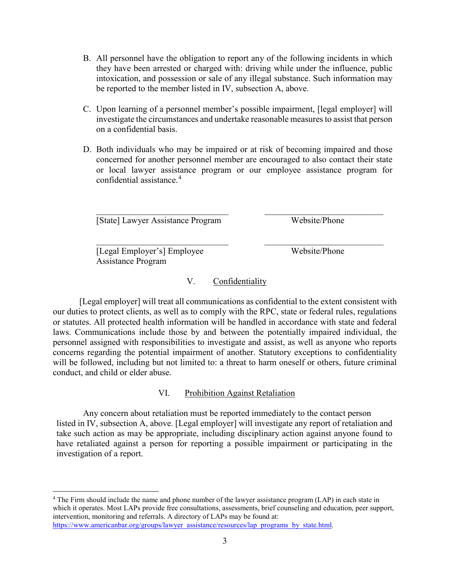- B. All personnel have the obligation to report any of the following incidents in which they have been arrested or charged with: driving while under the influence, public intoxication, and possession or sale of any illegal substance. Such information may be reported to the member listed in IV, subsection A, above.
- C. Upon learning of a personnel member's possible impairment, [legal employer] will investigate the circumstances and undertake reasonable measures to assist that person on a confidential basis.
- D. Both individuals who may be impaired or at risk of becoming impaired and those concerned for another personnel member are encouraged to also contact their state or local lawyer assistance program or our employee assistance program for confidential assistance.<sup>[4](#page-2-0)</sup>

 $\_$ 

 $\_$ [State] Lawyer Assistance Program Website/Phone

[Legal Employer's] Employee Website/Phone Assistance Program

 $\overline{\phantom{a}}$ 

# V. Confidentiality

[Legal employer] will treat all communications as confidential to the extent consistent with our duties to protect clients, as well as to comply with the RPC, state or federal rules, regulations or statutes. All protected health information will be handled in accordance with state and federal laws. Communications include those by and between the potentially impaired individual, the personnel assigned with responsibilities to investigate and assist, as well as anyone who reports concerns regarding the potential impairment of another. Statutory exceptions to confidentiality will be followed, including but not limited to: a threat to harm oneself or others, future criminal conduct, and child or elder abuse.

# VI. Prohibition Against Retaliation

Any concern about retaliation must be reported immediately to the contact person listed in IV, subsection A, above. [Legal employer] will investigate any report of retaliation and take such action as may be appropriate, including disciplinary action against anyone found to have retaliated against a person for reporting a possible impairment or participating in the investigation of a report.

<span id="page-2-0"></span><sup>4</sup> The Firm should include the name and phone number of the lawyer assistance program (LAP) in each state in which it operates. Most LAPs provide free consultations, assessments, brief counseling and education, peer support, intervention, monitoring and referrals. A directory of LAPs may be found at: [https://www.americanbar.org/groups/lawyer\\_assistance/resources/lap\\_programs\\_by\\_state.html.](https://www.americanbar.org/groups/lawyer_assistance/resources/lap_programs_by_state.html)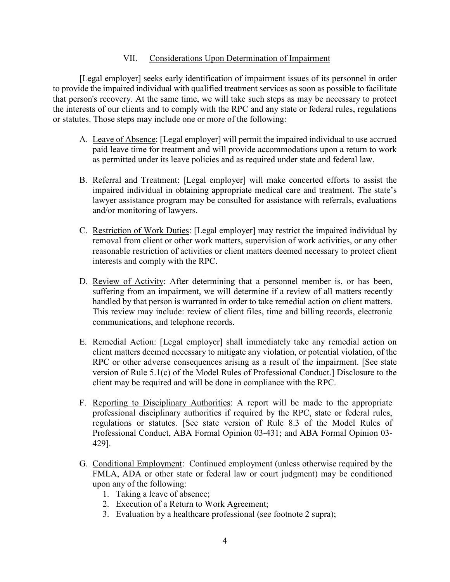# VII. Considerations Upon Determination of Impairment

[Legal employer] seeks early identification of impairment issues of its personnel in order to provide the impaired individual with qualified treatment services as soon as possible to facilitate that person's recovery. At the same time, we will take such steps as may be necessary to protect the interests of our clients and to comply with the RPC and any state or federal rules, regulations or statutes. Those steps may include one or more of the following:

- A. Leave of Absence: [Legal employer] will permit the impaired individual to use accrued paid leave time for treatment and will provide accommodations upon a return to work as permitted under its leave policies and as required under state and federal law.
- B. Referral and Treatment: [Legal employer] will make concerted efforts to assist the impaired individual in obtaining appropriate medical care and treatment. The state's lawyer assistance program may be consulted for assistance with referrals, evaluations and/or monitoring of lawyers.
- C. Restriction of Work Duties: [Legal employer] may restrict the impaired individual by removal from client or other work matters, supervision of work activities, or any other reasonable restriction of activities or client matters deemed necessary to protect client interests and comply with the RPC.
- D. Review of Activity: After determining that a personnel member is, or has been, suffering from an impairment, we will determine if a review of all matters recently handled by that person is warranted in order to take remedial action on client matters. This review may include: review of client files, time and billing records, electronic communications, and telephone records.
- E. Remedial Action: [Legal employer] shall immediately take any remedial action on client matters deemed necessary to mitigate any violation, or potential violation, of the RPC or other adverse consequences arising as a result of the impairment. [See state version of Rule 5.1(c) of the Model Rules of Professional Conduct.] Disclosure to the client may be required and will be done in compliance with the RPC.
- F. Reporting to Disciplinary Authorities: A report will be made to the appropriate professional disciplinary authorities if required by the RPC, state or federal rules, regulations or statutes. [See state version of Rule 8.3 of the Model Rules of Professional Conduct, ABA Formal Opinion 03-431; and ABA Formal Opinion 03- 429].
- G. Conditional Employment: Continued employment (unless otherwise required by the FMLA, ADA or other state or federal law or court judgment) may be conditioned upon any of the following:
	- 1. Taking a leave of absence;
	- 2. Execution of a Return to Work Agreement;
	- 3. Evaluation by a healthcare professional (see footnote 2 supra);